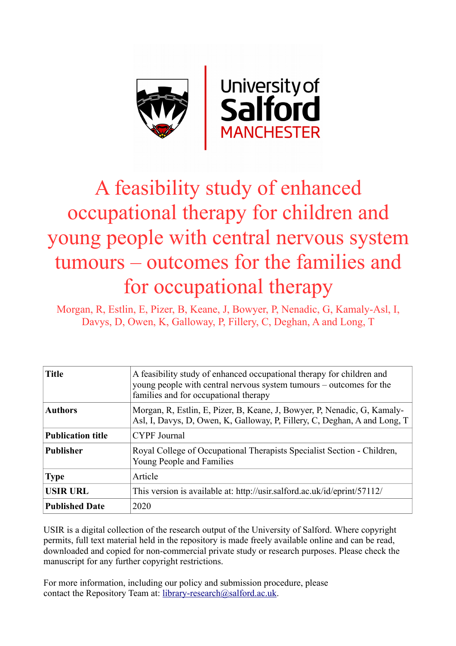

# A feasibility study of enhanced occupational therapy for children and young people with central nervous system tumours – outcomes for the families and for occupational therapy

Morgan, R, Estlin, E, Pizer, B, Keane, J, Bowyer, P, Nenadic, G, Kamaly-Asl, I, Davys, D, Owen, K, Galloway, P, Fillery, C, Deghan, A and Long, T

| <b>Title</b>             | A feasibility study of enhanced occupational therapy for children and<br>young people with central nervous system tumours – outcomes for the<br>families and for occupational therapy |
|--------------------------|---------------------------------------------------------------------------------------------------------------------------------------------------------------------------------------|
| <b>Authors</b>           | Morgan, R, Estlin, E, Pizer, B, Keane, J, Bowyer, P, Nenadic, G, Kamaly-<br>Asl, I, Davys, D, Owen, K, Galloway, P, Fillery, C, Deghan, A and Long, T                                 |
| <b>Publication title</b> | <b>CYPF</b> Journal                                                                                                                                                                   |
| <b>Publisher</b>         | Royal College of Occupational Therapists Specialist Section - Children,<br>Young People and Families                                                                                  |
| <b>Type</b>              | Article                                                                                                                                                                               |
| <b>USIR URL</b>          | This version is available at: http://usir.salford.ac.uk/id/eprint/57112/                                                                                                              |
| <b>Published Date</b>    | 2020                                                                                                                                                                                  |

USIR is a digital collection of the research output of the University of Salford. Where copyright permits, full text material held in the repository is made freely available online and can be read, downloaded and copied for non-commercial private study or research purposes. Please check the manuscript for any further copyright restrictions.

For more information, including our policy and submission procedure, please contact the Repository Team at: [library-research@salford.ac.uk.](mailto:library-research@salford.ac.uk)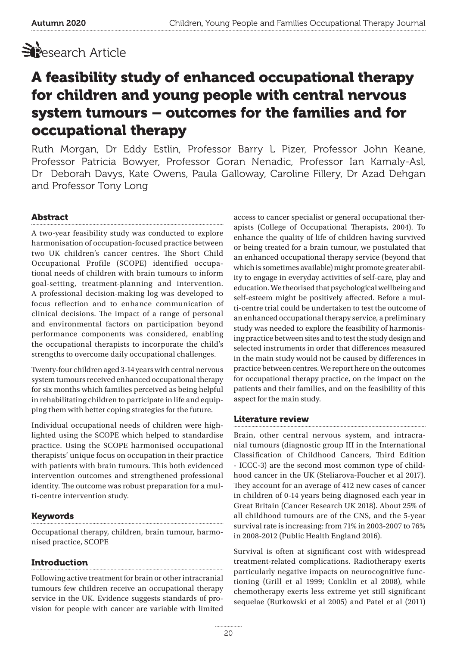

# A feasibility study of enhanced occupational therapy for children and young people with central nervous system tumours – outcomes for the families and for occupational therapy

Ruth Morgan, Dr Eddy Estlin, Professor Barry L Pizer, Professor John Keane, Professor Patricia Bowyer, Professor Goran Nenadic, Professor Ian Kamaly-Asl, Dr Deborah Davys, Kate Owens, Paula Galloway, Caroline Fillery, Dr Azad Dehgan and Professor Tony Long

# Abstract

A two-year feasibility study was conducted to explore harmonisation of occupation-focused practice between two UK children's cancer centres. The Short Child Occupational Profile (SCOPE) identified occupational needs of children with brain tumours to inform goal-setting, treatment-planning and intervention. A professional decision-making log was developed to focus reflection and to enhance communication of clinical decisions. The impact of a range of personal and environmental factors on participation beyond performance components was considered, enabling the occupational therapists to incorporate the child's strengths to overcome daily occupational challenges.

Twenty-four children aged 3-14 years with central nervous system tumours received enhanced occupational therapy for six months which families perceived as being helpful in rehabilitating children to participate in life and equipping them with better coping strategies for the future.

Individual occupational needs of children were highlighted using the SCOPE which helped to standardise practice. Using the SCOPE harmonised occupational therapists' unique focus on occupation in their practice with patients with brain tumours. This both evidenced intervention outcomes and strengthened professional identity. The outcome was robust preparation for a multi-centre intervention study.

# Keywords

Occupational therapy, children, brain tumour, harmonised practice, SCOPE

# Introduction

Following active treatment for brain or other intracranial tumours few children receive an occupational therapy service in the UK. Evidence suggests standards of provision for people with cancer are variable with limited access to cancer specialist or general occupational therapists (College of Occupational Therapists, 2004). To enhance the quality of life of children having survived or being treated for a brain tumour, we postulated that an enhanced occupational therapy service (beyond that which is sometimes available) might promote greater ability to engage in everyday activities of self-care, play and education. We theorised that psychological wellbeing and self-esteem might be positively affected. Before a multi-centre trial could be undertaken to test the outcome of an enhanced occupational therapy service, a preliminary study was needed to explore the feasibility of harmonising practice between sites and to test the study design and selected instruments in order that differences measured in the main study would not be caused by differences in practice between centres. We report here on the outcomes for occupational therapy practice, on the impact on the patients and their families, and on the feasibility of this aspect for the main study.

# Literature review

Brain, other central nervous system, and intracranial tumours (diagnostic group III in the International Classification of Childhood Cancers, Third Edition - ICCC-3) are the second most common type of childhood cancer in the UK (Steliarova-Foucher et al 2017). They account for an average of 412 new cases of cancer in children of 0-14 years being diagnosed each year in Great Britain (Cancer Research UK 2018). About 25% of all childhood tumours are of the CNS, and the 5-year survival rate is increasing: from 71% in 2003-2007 to 76% in 2008-2012 (Public Health England 2016).

Survival is often at significant cost with widespread treatment-related complications. Radiotherapy exerts particularly negative impacts on neurocognitive functioning (Grill et al 1999; Conklin et al 2008), while chemotherapy exerts less extreme yet still significant sequelae (Rutkowski et al 2005) and Patel et al (2011)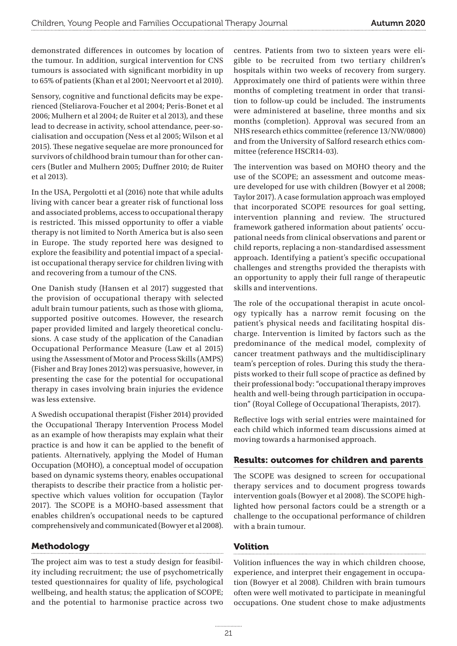demonstrated differences in outcomes by location of the tumour. In addition, surgical intervention for CNS tumours is associated with significant morbidity in up to 65% of patients (Khan et al 2001; Neervoort et al 2010).

Sensory, cognitive and functional deficits may be experienced (Steliarova-Foucher et al 2004; Peris-Bonet et al 2006; Mulhern et al 2004; de Ruiter et al 2013), and these lead to decrease in activity, school attendance, peer-socialisation and occupation (Ness et al 2005; Wilson et al 2015). These negative sequelae are more pronounced for survivors of childhood brain tumour than for other cancers (Butler and Mulhern 2005; Duffner 2010; de Ruiter et al 2013).

In the USA, Pergolotti et al (2016) note that while adults living with cancer bear a greater risk of functional loss and associated problems, access to occupational therapy is restricted. This missed opportunity to offer a viable therapy is not limited to North America but is also seen in Europe. The study reported here was designed to explore the feasibility and potential impact of a specialist occupational therapy service for children living with and recovering from a tumour of the CNS.

One Danish study (Hansen et al 2017) suggested that the provision of occupational therapy with selected adult brain tumour patients, such as those with glioma, supported positive outcomes. However, the research paper provided limited and largely theoretical conclusions. A case study of the application of the Canadian Occupational Performance Measure (Law et al 2015) using the Assessment of Motor and Process Skills (AMPS) (Fisher and Bray Jones 2012) was persuasive, however, in presenting the case for the potential for occupational therapy in cases involving brain injuries the evidence was less extensive.

A Swedish occupational therapist (Fisher 2014) provided the Occupational Therapy Intervention Process Model as an example of how therapists may explain what their practice is and how it can be applied to the benefit of patients. Alternatively, applying the Model of Human Occupation (MOHO), a conceptual model of occupation based on dynamic systems theory, enables occupational therapists to describe their practice from a holistic perspective which values volition for occupation (Taylor 2017). The SCOPE is a MOHO-based assessment that enables children's occupational needs to be captured comprehensively and communicated (Bowyer et al 2008).

Methodology

The project aim was to test a study design for feasibility including recruitment; the use of psychometrically tested questionnaires for quality of life, psychological wellbeing, and health status; the application of SCOPE; and the potential to harmonise practice across two centres. Patients from two to sixteen years were eligible to be recruited from two tertiary children's hospitals within two weeks of recovery from surgery. Approximately one third of patients were within three months of completing treatment in order that transition to follow-up could be included. The instruments were administered at baseline, three months and six months (completion). Approval was secured from an NHS research ethics committee (reference 13/NW/0800) and from the University of Salford research ethics committee (reference HSCR14-03).

The intervention was based on MOHO theory and the use of the SCOPE; an assessment and outcome measure developed for use with children (Bowyer et al 2008; Taylor 2017). A case formulation approach was employed that incorporated SCOPE resources for goal setting, intervention planning and review. The structured framework gathered information about patients' occupational needs from clinical observations and parent or child reports, replacing a non-standardised assessment approach. Identifying a patient's specific occupational challenges and strengths provided the therapists with an opportunity to apply their full range of therapeutic skills and interventions.

The role of the occupational therapist in acute oncology typically has a narrow remit focusing on the patient's physical needs and facilitating hospital discharge. Intervention is limited by factors such as the predominance of the medical model, complexity of cancer treatment pathways and the multidisciplinary team's perception of roles. During this study the therapists worked to their full scope of practice as defined by their professional body: "occupational therapy improves health and well-being through participation in occupation" (Royal College of Occupational Therapists, 2017).

Reflective logs with serial entries were maintained for each child which informed team discussions aimed at moving towards a harmonised approach.

# Results: outcomes for children and parents

The SCOPE was designed to screen for occupational therapy services and to document progress towards intervention goals (Bowyer et al 2008). The SCOPE highlighted how personal factors could be a strength or a challenge to the occupational performance of children with a brain tumour.

# Volition

Volition influences the way in which children choose, experience, and interpret their engagement in occupation (Bowyer et al 2008). Children with brain tumours often were well motivated to participate in meaningful occupations. One student chose to make adjustments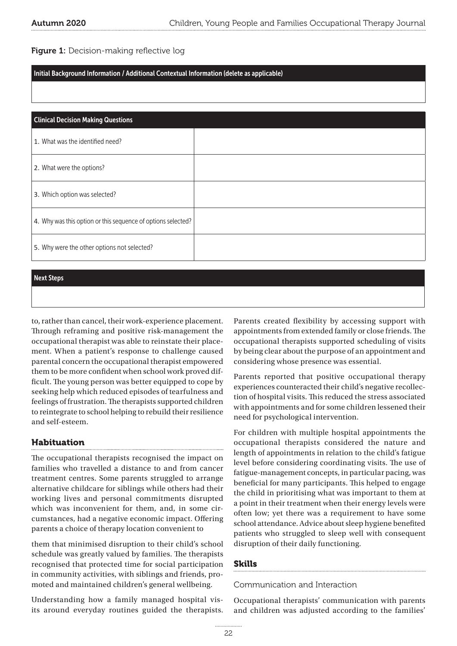Figure 1: Decision-making reflective log

#### Initial Background Information / Additional Contextual Information (delete as applicable)

| <b>Clinical Decision Making Questions</b>                    |  |  |  |
|--------------------------------------------------------------|--|--|--|
| 1. What was the identified need?                             |  |  |  |
| 2. What were the options?                                    |  |  |  |
| 3. Which option was selected?                                |  |  |  |
| 4. Why was this option or this sequence of options selected? |  |  |  |
| 5. Why were the other options not selected?                  |  |  |  |

#### Next Steps

to, rather than cancel, their work-experience placement. Through reframing and positive risk-management the occupational therapist was able to reinstate their placement. When a patient's response to challenge caused parental concern the occupational therapist empowered them to be more confident when school work proved difficult. The young person was better equipped to cope by seeking help which reduced episodes of tearfulness and feelings of frustration. The therapists supported children to reintegrate to school helping to rebuild their resilience and self-esteem.

# Habituation

The occupational therapists recognised the impact on families who travelled a distance to and from cancer treatment centres. Some parents struggled to arrange alternative childcare for siblings while others had their working lives and personal commitments disrupted which was inconvenient for them, and, in some circumstances, had a negative economic impact. Offering parents a choice of therapy location convenient to

them that minimised disruption to their child's school schedule was greatly valued by families. The therapists recognised that protected time for social participation in community activities, with siblings and friends, promoted and maintained children's general wellbeing.

Understanding how a family managed hospital visits around everyday routines guided the therapists. Parents created flexibility by accessing support with appointments from extended family or close friends. The occupational therapists supported scheduling of visits by being clear about the purpose of an appointment and considering whose presence was essential.

Parents reported that positive occupational therapy experiences counteracted their child's negative recollection of hospital visits. This reduced the stress associated with appointments and for some children lessened their need for psychological intervention.

For children with multiple hospital appointments the occupational therapists considered the nature and length of appointments in relation to the child's fatigue level before considering coordinating visits. The use of fatigue-management concepts, in particular pacing, was beneficial for many participants. This helped to engage the child in prioritising what was important to them at a point in their treatment when their energy levels were often low; yet there was a requirement to have some school attendance. Advice about sleep hygiene benefited patients who struggled to sleep well with consequent disruption of their daily functioning.

# Skills

#### Communication and Interaction

Occupational therapists' communication with parents and children was adjusted according to the families'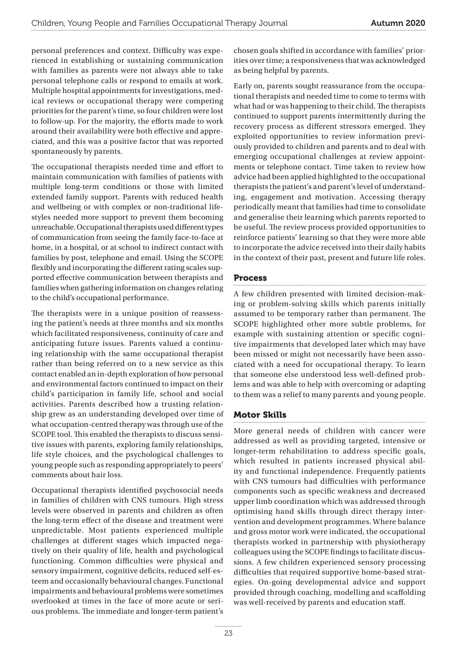personal preferences and context. Difficulty was experienced in establishing or sustaining communication with families as parents were not always able to take personal telephone calls or respond to emails at work. Multiple hospital appointments for investigations, medical reviews or occupational therapy were competing priorities for the parent's time, so four children were lost to follow-up. For the majority, the efforts made to work around their availability were both effective and appreciated, and this was a positive factor that was reported spontaneously by parents.

The occupational therapists needed time and effort to maintain communication with families of patients with multiple long-term conditions or those with limited extended family support. Parents with reduced health and wellbeing or with complex or non-traditional lifestyles needed more support to prevent them becoming unreachable. Occupational therapists used different types of communication from seeing the family face-to-face at home, in a hospital, or at school to indirect contact with families by post, telephone and email. Using the SCOPE flexibly and incorporating the different rating scales supported effective communication between therapists and families when gathering information on changes relating to the child's occupational performance.

The therapists were in a unique position of reassessing the patient's needs at three months and six months which facilitated responsiveness, continuity of care and anticipating future issues. Parents valued a continuing relationship with the same occupational therapist rather than being referred on to a new service as this contact enabled an in-depth exploration of how personal and environmental factors continued to impact on their child's participation in family life, school and social activities. Parents described how a trusting relationship grew as an understanding developed over time of what occupation-centred therapy was through use of the SCOPE tool. This enabled the therapists to discuss sensitive issues with parents, exploring family relationships, life style choices, and the psychological challenges to young people such as responding appropriately to peers' comments about hair loss.

Occupational therapists identified psychosocial needs in families of children with CNS tumours. High stress levels were observed in parents and children as often the long-term effect of the disease and treatment were unpredictable. Most patients experienced multiple challenges at different stages which impacted negatively on their quality of life, health and psychological functioning. Common difficulties were physical and sensory impairment, cognitive deficits, reduced self-esteem and occasionally behavioural changes. Functional impairments and behavioural problems were sometimes overlooked at times in the face of more acute or serious problems. The immediate and longer-term patient's chosen goals shifted in accordance with families' priorities over time; a responsiveness that was acknowledged as being helpful by parents.

Early on, parents sought reassurance from the occupational therapists and needed time to come to terms with what had or was happening to their child. The therapists continued to support parents intermittently during the recovery process as different stressors emerged. They exploited opportunities to review information previously provided to children and parents and to deal with emerging occupational challenges at review appointments or telephone contact. Time taken to review how advice had been applied highlighted to the occupational therapists the patient's and parent's level of understanding, engagement and motivation. Accessing therapy periodically meant that families had time to consolidate and generalise their learning which parents reported to be useful. The review process provided opportunities to reinforce patients' learning so that they were more able to incorporate the advice received into their daily habits in the context of their past, present and future life roles.

# Process

A few children presented with limited decision-making or problem-solving skills which parents initially assumed to be temporary rather than permanent. The SCOPE highlighted other more subtle problems, for example with sustaining attention or specific cognitive impairments that developed later which may have been missed or might not necessarily have been associated with a need for occupational therapy. To learn that someone else understood less well-defined problems and was able to help with overcoming or adapting to them was a relief to many parents and young people.

# Motor Skills

More general needs of children with cancer were addressed as well as providing targeted, intensive or longer-term rehabilitation to address specific goals, which resulted in patients increased physical ability and functional independence. Frequently patients with CNS tumours had difficulties with performance components such as specific weakness and decreased upper limb coordination which was addressed through optimising hand skills through direct therapy intervention and development programmes. Where balance and gross motor work were indicated, the occupational therapists worked in partnership with physiotherapy colleagues using the SCOPE findings to facilitate discussions. A few children experienced sensory processing difficulties that required supportive home-based strategies. On-going developmental advice and support provided through coaching, modelling and scaffolding was well-received by parents and education staff.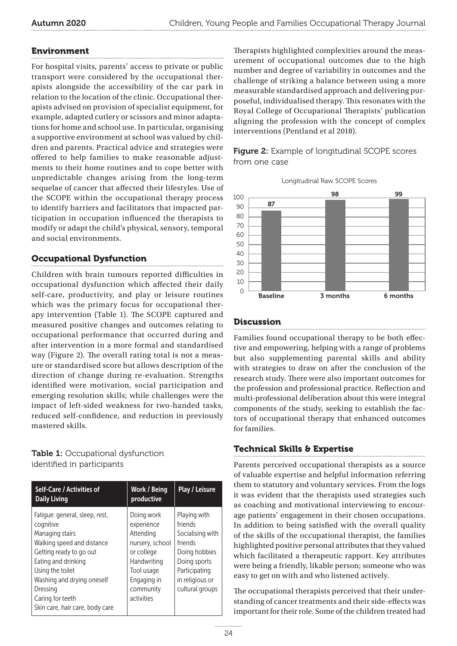# Environment

For hospital visits, parents' access to private or public transport were considered by the occupational therapists alongside the accessibility of the car park in relation to the location of the clinic. Occupational therapists advised on provision of specialist equipment, for example, adapted cutlery or scissors and minor adaptations for home and school use. In particular, organising a supportive environment at school was valued by children and parents. Practical advice and strategies were offered to help families to make reasonable adjustments to their home routines and to cope better with unpredictable changes arising from the long-term sequelae of cancer that affected their lifestyles. Use of the SCOPE within the occupational therapy process to identify barriers and facilitators that impacted participation in occupation influenced the therapists to modify or adapt the child's physical, sensory, temporal and social environments.

# Occupational Dysfunction

Children with brain tumours reported difficulties in occupational dysfunction which affected their daily self-care, productivity, and play or leisure routines which was the primary focus for occupational therapy intervention (Table 1). The SCOPE captured and measured positive changes and outcomes relating to occupational performance that occurred during and after intervention in a more formal and standardised way (Figure 2). The overall rating total is not a measure or standardised score but allows description of the direction of change during re-evaluation. Strengths identified were motivation, social participation and emerging resolution skills; while challenges were the impact of left-sided weakness for two-handed tasks, reduced self-confidence, and reduction in previously mastered skills.

# Table 1: Occupational dysfunction identified in participants

| Self-Care / Activities of<br><b>Daily Living</b>                                                                                                                                                                                 | Work / Being<br>productive                                                                                                                    | Play / Leisure                                                                                                                                 |
|----------------------------------------------------------------------------------------------------------------------------------------------------------------------------------------------------------------------------------|-----------------------------------------------------------------------------------------------------------------------------------------------|------------------------------------------------------------------------------------------------------------------------------------------------|
| Fatigue: general, sleep, rest,<br>cognitive<br>Managing stairs<br>Walking speed and distance<br>Getting ready to go out<br>Eating and drinking<br>Using the toilet<br>Washing and drying oneself<br>Dressing<br>Caring for teeth | Doing work<br>experience<br>Attending<br>nursery, school<br>or college<br>Handwriting<br>Tool usage<br>Engaging in<br>community<br>activities | Playing with<br>friends<br>Socialising with<br>friends<br>Doing hobbies<br>Doing sports<br>Participating<br>in religious or<br>cultural groups |
| Skin care, hair care, body care                                                                                                                                                                                                  |                                                                                                                                               |                                                                                                                                                |

Therapists highlighted complexities around the measurement of occupational outcomes due to the high number and degree of variability in outcomes and the challenge of striking a balance between using a more measurable standardised approach and delivering purposeful, individualised therapy. This resonates with the Royal College of Occupational Therapists' publication aligning the profession with the concept of complex interventions (Pentland et al 2018).







# **Discussion**

Families found occupational therapy to be both effective and empowering, helping with a range of problems but also supplementing parental skills and ability with strategies to draw on after the conclusion of the research study. There were also important outcomes for the profession and professional practice. Reflection and multi-professional deliberation about this were integral components of the study, seeking to establish the factors of occupational therapy that enhanced outcomes for families.

# Technical Skills & Expertise

Parents perceived occupational therapists as a source of valuable expertise and helpful information referring them to statutory and voluntary services. From the logs it was evident that the therapists used strategies such as coaching and motivational interviewing to encourage patients' engagement in their chosen occupations. In addition to being satisfied with the overall quality of the skills of the occupational therapist, the families highlighted positive personal attributes that they valued which facilitated a therapeutic rapport. Key attributes were being a friendly, likable person; someone who was easy to get on with and who listened actively.

The occupational therapists perceived that their understanding of cancer treatments and their side-effects was important for their role. Some of the children treated had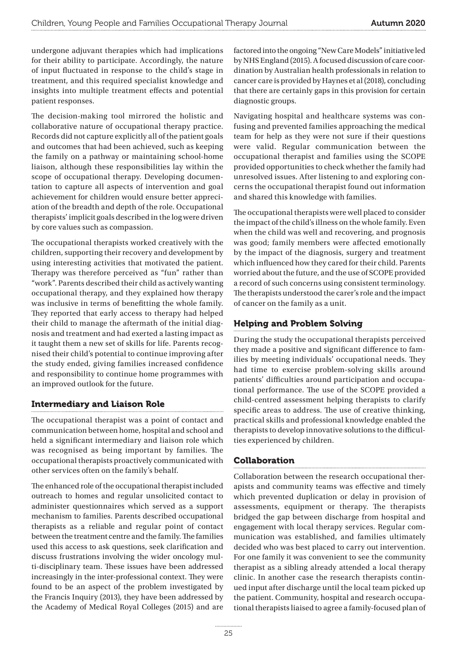undergone adjuvant therapies which had implications for their ability to participate. Accordingly, the nature of input fluctuated in response to the child's stage in treatment, and this required specialist knowledge and insights into multiple treatment effects and potential patient responses.

The decision-making tool mirrored the holistic and collaborative nature of occupational therapy practice. Records did not capture explicitly all of the patient goals and outcomes that had been achieved, such as keeping the family on a pathway or maintaining school-home liaison, although these responsibilities lay within the scope of occupational therapy. Developing documentation to capture all aspects of intervention and goal achievement for children would ensure better appreciation of the breadth and depth of the role. Occupational therapists' implicit goals described in the log were driven by core values such as compassion.

The occupational therapists worked creatively with the children, supporting their recovery and development by using interesting activities that motivated the patient. Therapy was therefore perceived as "fun" rather than "work". Parents described their child as actively wanting occupational therapy, and they explained how therapy was inclusive in terms of benefitting the whole family. They reported that early access to therapy had helped their child to manage the aftermath of the initial diagnosis and treatment and had exerted a lasting impact as it taught them a new set of skills for life. Parents recognised their child's potential to continue improving after the study ended, giving families increased confidence and responsibility to continue home programmes with an improved outlook for the future.

# Intermediary and Liaison Role

The occupational therapist was a point of contact and communication between home, hospital and school and held a significant intermediary and liaison role which was recognised as being important by families. The occupational therapists proactively communicated with other services often on the family's behalf.

The enhanced role of the occupational therapist included outreach to homes and regular unsolicited contact to administer questionnaires which served as a support mechanism to families. Parents described occupational therapists as a reliable and regular point of contact between the treatment centre and the family. The families used this access to ask questions, seek clarification and discuss frustrations involving the wider oncology multi-disciplinary team. These issues have been addressed increasingly in the inter-professional context. They were found to be an aspect of the problem investigated by the Francis Inquiry (2013), they have been addressed by the Academy of Medical Royal Colleges (2015) and are factored into the ongoing "New Care Models" initiative led by NHS England (2015). A focused discussion of care coordination by Australian health professionals in relation to cancer care is provided by Haynes et al (2018), concluding that there are certainly gaps in this provision for certain diagnostic groups.

Navigating hospital and healthcare systems was confusing and prevented families approaching the medical team for help as they were not sure if their questions were valid. Regular communication between the occupational therapist and families using the SCOPE provided opportunities to check whether the family had unresolved issues. After listening to and exploring concerns the occupational therapist found out information and shared this knowledge with families.

The occupational therapists were well placed to consider the impact of the child's illness on the whole family. Even when the child was well and recovering, and prognosis was good; family members were affected emotionally by the impact of the diagnosis, surgery and treatment which influenced how they cared for their child. Parents worried about the future, and the use of SCOPE provided a record of such concerns using consistent terminology. The therapists understood the carer's role and the impact of cancer on the family as a unit.

# Helping and Problem Solving

During the study the occupational therapists perceived they made a positive and significant difference to families by meeting individuals' occupational needs. They had time to exercise problem-solving skills around patients' difficulties around participation and occupational performance. The use of the SCOPE provided a child-centred assessment helping therapists to clarify specific areas to address. The use of creative thinking, practical skills and professional knowledge enabled the therapists to develop innovative solutions to the difficulties experienced by children.

# Collaboration

Collaboration between the research occupational therapists and community teams was effective and timely which prevented duplication or delay in provision of assessments, equipment or therapy. The therapists bridged the gap between discharge from hospital and engagement with local therapy services. Regular communication was established, and families ultimately decided who was best placed to carry out intervention. For one family it was convenient to see the community therapist as a sibling already attended a local therapy clinic. In another case the research therapists continued input after discharge until the local team picked up the patient. Community, hospital and research occupational therapists liaised to agree a family-focused plan of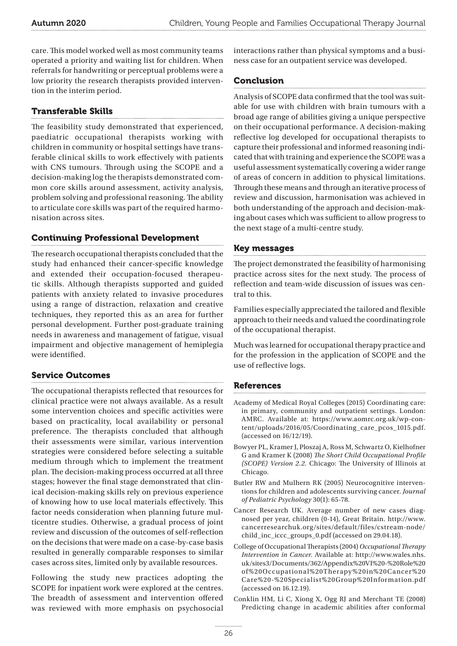care. This model worked well as most community teams operated a priority and waiting list for children. When referrals for handwriting or perceptual problems were a low priority the research therapists provided intervention in the interim period.

# Transferable Skills

The feasibility study demonstrated that experienced, paediatric occupational therapists working with children in community or hospital settings have transferable clinical skills to work effectively with patients with CNS tumours. Through using the SCOPE and a decision-making log the therapists demonstrated common core skills around assessment, activity analysis, problem solving and professional reasoning. The ability to articulate core skills was part of the required harmonisation across sites.

# Continuing Professional Development

The research occupational therapists concluded that the study had enhanced their cancer-specific knowledge and extended their occupation-focused therapeutic skills. Although therapists supported and guided patients with anxiety related to invasive procedures using a range of distraction, relaxation and creative techniques, they reported this as an area for further personal development. Further post-graduate training needs in awareness and management of fatigue, visual impairment and objective management of hemiplegia were identified.

# Service Outcomes

The occupational therapists reflected that resources for clinical practice were not always available. As a result some intervention choices and specific activities were based on practicality, local availability or personal preference. The therapists concluded that although their assessments were similar, various intervention strategies were considered before selecting a suitable medium through which to implement the treatment plan. The decision-making process occurred at all three stages; however the final stage demonstrated that clinical decision-making skills rely on previous experience of knowing how to use local materials effectively. This factor needs consideration when planning future multicentre studies. Otherwise, a gradual process of joint review and discussion of the outcomes of self-reflection on the decisions that were made on a case-by-case basis resulted in generally comparable responses to similar cases across sites, limited only by available resources.

Following the study new practices adopting the SCOPE for inpatient work were explored at the centres. The breadth of assessment and intervention offered was reviewed with more emphasis on psychosocial interactions rather than physical symptoms and a business case for an outpatient service was developed.

# Conclusion

Analysis of SCOPE data confirmed that the tool was suitable for use with children with brain tumours with a broad age range of abilities giving a unique perspective on their occupational performance. A decision-making reflective log developed for occupational therapists to capture their professional and informed reasoning indicated that with training and experience the SCOPE was a useful assessment systematically covering a wider range of areas of concern in addition to physical limitations. Through these means and through an iterative process of review and discussion, harmonisation was achieved in both understanding of the approach and decision-making about cases which was sufficient to allow progress to the next stage of a multi-centre study.

# Key messages

The project demonstrated the feasibility of harmonising practice across sites for the next study. The process of reflection and team-wide discussion of issues was central to this.

Families especially appreciated the tailored and flexible approach to their needs and valued the coordinating role of the occupational therapist.

Much was learned for occupational therapy practice and for the profession in the application of SCOPE and the use of reflective logs.

# References

- Academy of Medical Royal Colleges (2015) Coordinating care: in primary, community and outpatient settings. London: AMRC. Available at: [https://www.aomrc.org.uk/wp-con](https://www.aomrc.org.uk/wp-content/uploads/2016/05/Coordinating_care_pcos_1015.pdf)[tent/uploads/2016/05/Coordinating\\_care\\_pcos\\_1015.pdf](https://www.aomrc.org.uk/wp-content/uploads/2016/05/Coordinating_care_pcos_1015.pdf). (accessed on 16/12/19).
- Bowyer PL, Kramer J, Ploszaj A, Ross M, Schwartz O, Kielhofner G and Kramer K (2008) *The Short Child Occupational Profile (SCOPE) Version 2.2.* Chicago: The University of Illinois at Chicago.
- Butler RW and Mulhern RK (2005) Neurocognitive interventions for children and adolescents surviving cancer. *Journal of Pediatric Psychology* 30(1): 65-78.
- Cancer Research UK. Average number of new cases diagnosed per year, children (0-14), Great Britain. [http://www.](http://www.cancerresearchuk.org/sites/default/files/cstream-node/child_inc_iccc_groups_0.pdf) [cancerresearchuk.org/sites/default/files/cstream-node/](http://www.cancerresearchuk.org/sites/default/files/cstream-node/child_inc_iccc_groups_0.pdf) [child\\_inc\\_iccc\\_groups\\_0.pdf](http://www.cancerresearchuk.org/sites/default/files/cstream-node/child_inc_iccc_groups_0.pdf) (accessed on 29.04.18).
- College of Occupational Therapists (2004) *Occupational Therapy Intervention in Cancer.* Available at: [http://www.wales.nhs.](http://www.wales.nhs.uk/sites3/Documents/362/Appendix%2520VI%2520-%2520Role%2520of%2520Occupational%2520Therapy%2520in%2520Cancer%2520Care%2520-%2520Specialist%2520Group%2520Information.pdf) [uk/sites3/Documents/362/Appendix%20VI%20-%20Role%20](http://www.wales.nhs.uk/sites3/Documents/362/Appendix%2520VI%2520-%2520Role%2520of%2520Occupational%2520Therapy%2520in%2520Cancer%2520Care%2520-%2520Specialist%2520Group%2520Information.pdf) [of%20Occupational%20Therapy%20in%20Cancer%20](http://www.wales.nhs.uk/sites3/Documents/362/Appendix%2520VI%2520-%2520Role%2520of%2520Occupational%2520Therapy%2520in%2520Cancer%2520Care%2520-%2520Specialist%2520Group%2520Information.pdf) [Care%20-%20Specialist%20Group%20Information.pdf](http://www.wales.nhs.uk/sites3/Documents/362/Appendix%2520VI%2520-%2520Role%2520of%2520Occupational%2520Therapy%2520in%2520Cancer%2520Care%2520-%2520Specialist%2520Group%2520Information.pdf) (accessed on 16.12.19).
- Conklin HM, Li C, Xiong X, Ogg RJ and Merchant TE (2008) Predicting change in academic abilities after conformal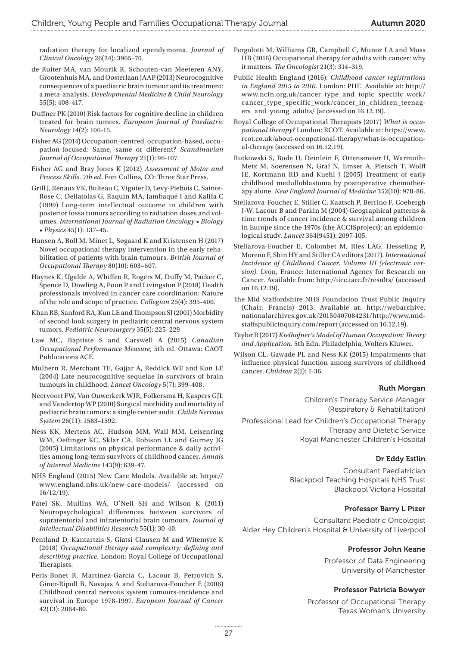radiation therapy for localized ependymoma. *Journal of Clinical Oncology* 26(24)*:* 3965–70.

- de Ruiter MA, van Mourik R, Schouten-van Meeteren ANY, Grootenhuis MA, and Oosterlaan JAAP (2013) Neurocognitive consequences of a paediatric brain tumour and its treatment: a meta-analysis. *Developmental Medicine & Child Neurology*  55(5): 408-417.
- Duffner PK (2010) Risk factors for cognitive decline in children treated for brain tumors. *European Journal of Paediatric Neurology* 14(2): 106-15.
- Fisher AG (2014) Occupation-centred, occupation-based, occupation-focused: Same, same or different? *Scandinavian Journal of Occupational Therapy* 21(1): 96-107.
- Fisher AG and Bray Jones K (2012) *Assessment of Motor and Process Skills. 7th ed*. Fort Collins, CO: Three Star Press.
- Grill J, Renaux VK, Bulteau C, Viguier D, Levy-Piebois C, Sainte-Rose C, Dellatolas G, Raquin MA, Jambaqué I and Kalifa C (1999) Long-term intellectual outcome in children with posterior fossa tumors according to radiation doses and volumes. *International Journal of Radiation Oncology • Biology • Physics* 45(1): 137–45.
- Hansen A, Boll M, Minet L, Søgaard K and Kristensen H (2017) Novel occupational therapy intervention in the early rehabilitation of patients with brain tumours. *British Journal of Occupational Therapy* 80(10): 603–607.
- Haynes K, Ugalde A, Whiffen R, Rogers M, Duffy M, Packer C, Spence D, Dowling A, Poon P and Livingston P (2018) Health professionals involved in cancer care coordination: Nature of the role and scope of practice. *Collegian* 25(4): 395-400.
- Khan RB, Sanford RA, Kun LE and Thompson SJ (2001) Morbidity of second-look surgery in pediatric central nervous system tumors. *Pediatric Neurosurgery* 35(5): 225–229
- Law MC, Baptiste S and Carswell A (2015) *Canadian Occupational Performance Measure*, 5th ed. Ottawa: CAOT Publications ACE.
- Mulhern R, Merchant TE, Gajjar A, Reddick WE and Kun LE (2004) Late neurocognitive sequelae in survivors of brain tumours in childhood. *Lancet Oncology* 5(7): 399-408.
- Neervoort FW, Van Ouwerkerk WJR, Folkersma H, Kaspers GJL and Vandertop WP (2010) Surgical morbidity and mortality of pediatric brain tumors: a single center audit. *Childs Nervous System* 26(11): 1583–1592.
- Ness KK, Mertens AC, Hudson MM, Wall MM, Leisenring WM, Oeffinger KC, Sklar CA, Robison LL and Gurney JG (2005) Limitations on physical performance & daily activities among long-term survivors of childhood cancer. *Annals of Internal Medicine* 143(9): 639-47.
- NHS England (2015) New Care Models. Available at: [https://](https://www.england.nhs.uk/new-care-models/) [www.england.nhs.uk/new-care-models/](https://www.england.nhs.uk/new-care-models/) (accessed on 16/12/19).
- Patel SK, Mullins WA, O'Neil SH and Wilson K (2011) Neuropsychological differences between survivors of supratentorial and infratentorial brain tumours. *Journal of Intellectual Disabilities Research* 55(1): 30-40.
- Pentland D, Kantartzis S, Giatsi Clausen M and Witemyre K (2018) *Occupational therapy and complexity: defining and describing practice.* London: Royal College of Occupational Therapists.
- Peris-Bonet R, Martínez-García C, Lacour B, Petrovich S, Giner-Ripoll B, Navajas A and Steliarova-Foucher E (2006) Childhood central nervous system tumours-incidence and survival in Europe 1978-1997. *European Journal of Cancer*  42(13): 2064-80.
- Pergolotti M, Williams GR, Campbell C, Munoz LA and Muss HB (2016) Occupational therapy for adults with cancer: why it matters. *The Oncologist* 21(3): 314–319.
- Public Health England (2016): *Childhood cancer registrations in England 2015 to 2016*. London: PHE. Available at: [http://](http://www.ncin.org.uk/cancer_type_and_topic_specific_work/cancer_type_specific_work/cancer_in_children_teenagers_and_young_adults/) [www.ncin.org.uk/cancer\\_type\\_and\\_topic\\_specific\\_work/](http://www.ncin.org.uk/cancer_type_and_topic_specific_work/cancer_type_specific_work/cancer_in_children_teenagers_and_young_adults/) [cancer\\_type\\_specific\\_work/cancer\\_in\\_children\\_teenag](http://www.ncin.org.uk/cancer_type_and_topic_specific_work/cancer_type_specific_work/cancer_in_children_teenagers_and_young_adults/)[ers\\_and\\_young\\_adults/](http://www.ncin.org.uk/cancer_type_and_topic_specific_work/cancer_type_specific_work/cancer_in_children_teenagers_and_young_adults/) (accessed on 16.12.19).
- Royal College of Occupational Therapists (2017) *What is occupational therapy?* London: RCOT. Available at: [https://www.](https://www.rcot.co.uk/about-occupational-therapy/what-is-occupational-therapy) [rcot.co.uk/about-occupational-therapy/what-is-occupation](https://www.rcot.co.uk/about-occupational-therapy/what-is-occupational-therapy)[al-therapy](https://www.rcot.co.uk/about-occupational-therapy/what-is-occupational-therapy) (accessed on 16.12.19).
- Rutkowski S, Bode U, Deinlein F, Ottensmeier H, Warmuth-Metz M, Soerensen N, Graf N, Emser A, Pietsch T, Wolff JE, Kortmann RD and Kuehl J (2005) Treatment of early childhood medulloblastoma by postoperative chemotherapy alone. *New England Journal of Medicine* 352(10): 978-86.
- Steliarova-Foucher E, Stiller C, Kaatsch P, Berrino F, Coebergh J-W, Lacour B and Parkin M (2004) Geographical patterns & time trends of cancer incidence & survival among children in Europe since the 1970s (the ACCISproject): an epidemiological study. *Lancet* 364(9451): 2097-105.
- Steliarova-Foucher E, Colombet M, Ries LAG, Hesseling P, Moreno F, Shin HY and Stiller CA editors (2017). *International Incidence of Childhood Cancer, Volume III (electronic version).* Lyon, France: International Agency for Research on Cancer. Available from: <http://iicc.iarc.fr/results/> (accessed on 16.12.19).
- The Mid Staffordshire NHS Foundation Trust Public Inquiry (Chair: Francis) 2013. Available at: [http://webarchive.](http://webarchive.nationalarchives.gov.uk/20150407084231/http://www.midstaffspublicinquiry.com/report) [nationalarchives.gov.uk/20150407084231/http://www.mid](http://webarchive.nationalarchives.gov.uk/20150407084231/http://www.midstaffspublicinquiry.com/report)[staffspublicinquiry.com/report](http://webarchive.nationalarchives.gov.uk/20150407084231/http://www.midstaffspublicinquiry.com/report) (accessed on 16.12.19).
- Taylor R (2017) *Kielhofner's Model of Human Occupation: Theory and Application,* 5th Edn. Philadelphia, Wolters Kluwer.
- Wilson CL, Gawade PL and Ness KK (2015) Impairments that influence physical function among survivors of childhood cancer. *Children* 2(1): 1-36.

#### Ruth Morgan

Children's Therapy Service Manager (Respiratory & Rehabilitation)

Professional Lead for Children's Occupational Therapy Therapy and Dietetic Service Royal Manchester Children's Hospital

#### Dr Eddy Estlin

Consultant Paediatrician Blackpool Teaching Hospitals NHS Trust Blackpool Victoria Hospital

#### Professor Barry L Pizer

Consultant Paediatric Oncologist Alder Hey Children's Hospital & University of Liverpool

#### Professor John Keane

Professor of Data Engineering University of Manchester

#### Professor Patricia Bowyer

Professor of Occupational Therapy Texas Woman's University